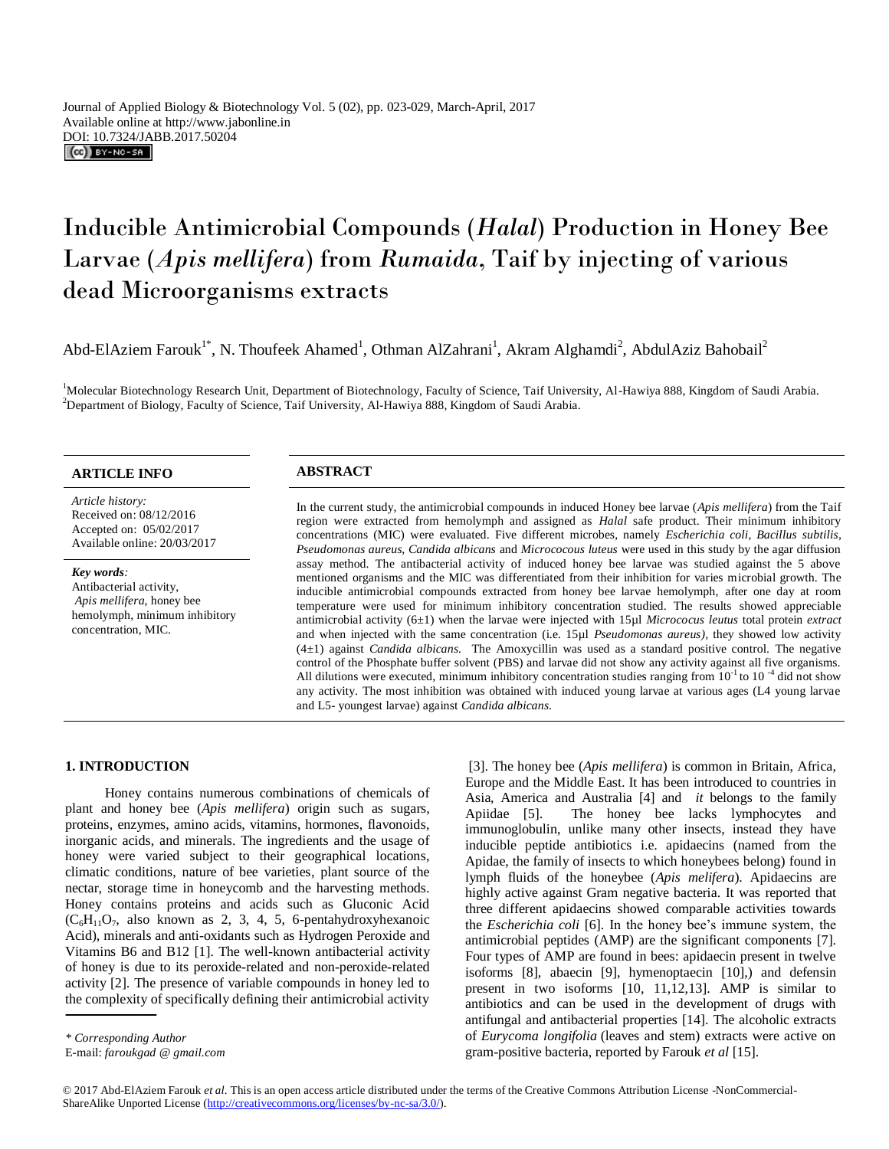# Inducible Antimicrobial Compounds (*Halal*) Production in Honey Bee Larvae (*Apis mellifera*) from *Rumaida*, Taif by injecting of various dead Microorganisms extracts

Abd-ElAziem Farouk<sup>1\*</sup>, N. Thoufeek Ahamed<sup>1</sup>, Othman AlZahrani<sup>1</sup>, Akram Alghamdi<sup>2</sup>, AbdulAziz Bahobail<sup>2</sup>

<sup>1</sup>Molecular Biotechnology Research Unit, Department of Biotechnology, Faculty of Science, Taif University, Al-Hawiya 888, Kingdom of Saudi Arabia. <sup>2</sup>Department of Biology, Faculty of Science, Taif University, Al-Hawiya 888, Kingdom of Saudi Arabia.

# **ARTICLE INFO ABSTRACT**

*Article history:* Received on: 08/12/2016 Accepted on: 05/02/2017 Available online: 20/03/2017

*Key words:*  Antibacterial activity, *Apis mellifera*, honey bee hemolymph, minimum inhibitory concentration, MIC.

In the current study, the antimicrobial compounds in induced Honey bee larvae (*Apis mellifera*) from the Taif region were extracted from hemolymph and assigned as *Halal* safe product. Their minimum inhibitory concentrations (MIC) were evaluated. Five different microbes, namely *Escherichia coli, Bacillus subtilis, Pseudomonas aureus, Candida albicans* and *Micrococous luteus* were used in this study by the agar diffusion assay method. The antibacterial activity of induced honey bee larvae was studied against the 5 above mentioned organisms and the MIC was differentiated from their inhibition for varies microbial growth. The inducible antimicrobial compounds extracted from honey bee larvae hemolymph, after one day at room temperature were used for minimum inhibitory concentration studied. The results showed appreciable antimicrobial activity (6±1) when the larvae were injected with 15µl *Micrococus leutus* total protein *extract* and when injected with the same concentration (i.e. 15µl *Pseudomonas aureus),* they showed low activity (4±1) against *Candida albicans.* The Amoxycillin was used as a standard positive control. The negative control of the Phosphate buffer solvent (PBS) and larvae did not show any activity against all five organisms. All dilutions were executed, minimum inhibitory concentration studies ranging from  $10^{-1}$  to  $10^{-4}$  did not show any activity. The most inhibition was obtained with induced young larvae at various ages (L4 young larvae and L5- youngest larvae) against *Candida albicans.*

# **1. INTRODUCTION**

Honey contains numerous combinations of chemicals of plant and honey bee (*Apis mellifera*) origin such as sugars, proteins, enzymes, amino acids, vitamins, hormones, flavonoids, inorganic acids, and minerals. The ingredients and the usage of honey were varied subject to their geographical locations, climatic conditions, nature of bee varieties, plant source of the nectar, storage time in honeycomb and the harvesting methods. Honey contains proteins and acids such as Gluconic Acid  $(C_6H_{11}O_7,$  also known as 2, 3, 4, 5, 6-pentahydroxyhexanoic Acid), minerals and anti-oxidants such as Hydrogen Peroxide and Vitamins B6 and B12 [1]. The well-known antibacterial activity of honey is due to its peroxide-related and non-peroxide-related activity [2]. The presence of variable compounds in honey led to the complexity of specifically defining their antimicrobial activity .

[3]. The honey bee (*Apis mellifera*) is common in Britain, Africa, Europe and the Middle East. It has been introduced to countries in Asia, America and Australia [4] and *it* belongs to the family The honey bee lacks lymphocytes and immunoglobulin, unlike many other insects, instead they have inducible peptide antibiotics i.e. apidaecins (named from the Apidae, the family of insects to which honeybees belong) found in lymph fluids of the honeybee (*Apis melifera*). Apidaecins are highly active against Gram negative bacteria. It was reported that three different apidaecins showed comparable activities towards the *Escherichia coli* [6]. In the honey bee's immune system, the antimicrobial peptides (AMP) are the significant components [7]. Four types of AMP are found in bees: apidaecin present in twelve isoforms [8], abaecin [9], hymenoptaecin [10],) and defensin present in two isoforms [10, 11,12,13]. AMP is similar to antibiotics and can be used in the development of drugs with antifungal and antibacterial properties [14]. The alcoholic extracts of *Eurycoma longifolia* (leaves and stem) extracts were active on gram-positive bacteria, reported by Farouk *et al* [15].

© 2017 Abd-ElAziem Farouk *et al*. This is an open access article distributed under the terms of the Creative Commons Attribution License -NonCommercial-ShareAlike Unported License (http://creativecommons.org/licenses/by-nc-sa/3.0/).

E-mail: *faroukgad @ gmail.com*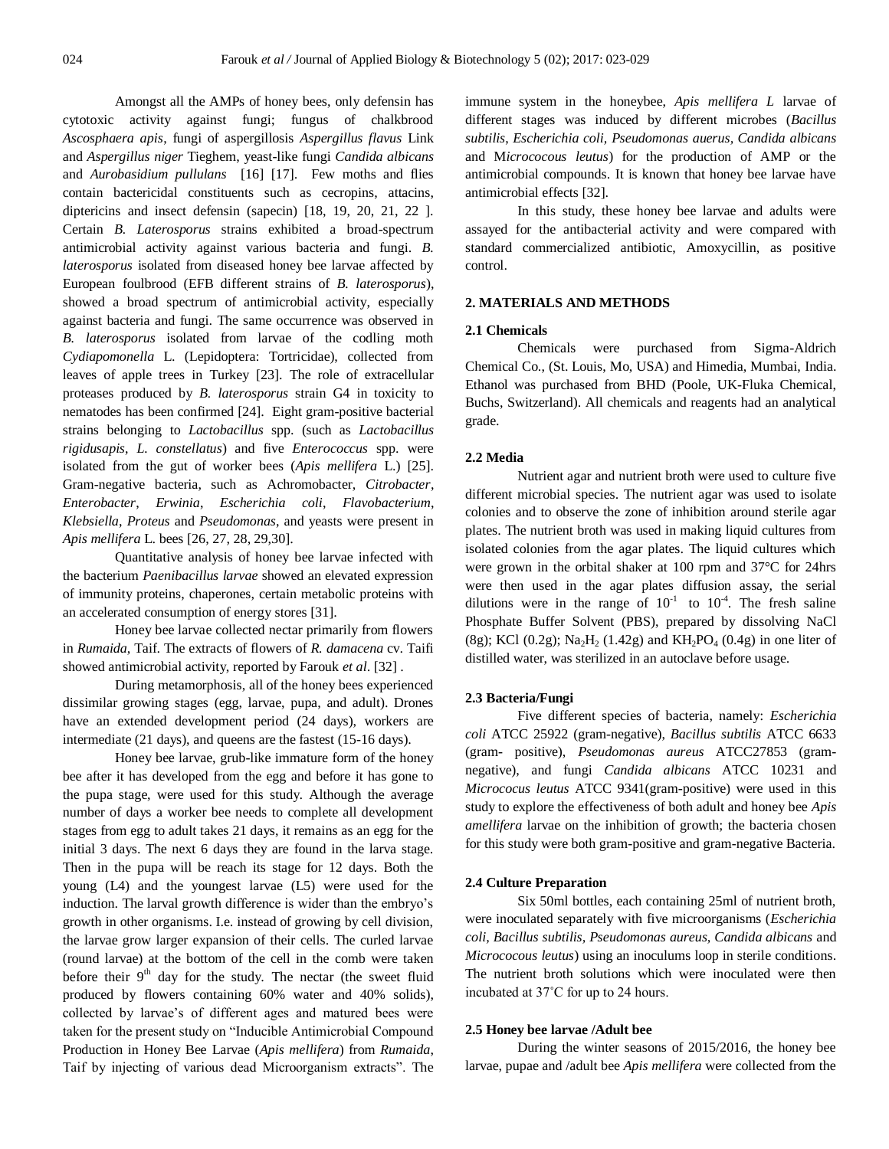Amongst all the AMPs of honey bees, only defensin has cytotoxic activity against fungi; fungus of chalkbrood *Ascosphaera apis*, fungi of aspergillosis *Aspergillus flavus* Link and *Aspergillus niger* Tieghem, yeast-like fungi *Candida albicans*  and *Aurobasidium pullulans* [16] [17]. Few moths and flies contain bactericidal constituents such as cecropins, attacins, diptericins and insect defensin (sapecin) [18, 19, 20, 21, 22 ]. Certain *B. Laterosporus* strains exhibited a broad-spectrum antimicrobial activity against various bacteria and fungi. *B. laterosporus* isolated from diseased honey bee larvae affected by European foulbrood (EFB different strains of *B. laterosporus*), showed a broad spectrum of antimicrobial activity, especially against bacteria and fungi. The same occurrence was observed in *B. laterosporus* isolated from larvae of the codling moth *Cydiapomonella* L. (Lepidoptera: Tortricidae), collected from leaves of apple trees in Turkey [23]. The role of extracellular proteases produced by *B. laterosporus* strain G4 in toxicity to nematodes has been confirmed [24]. Eight gram-positive bacterial strains belonging to *Lactobacillus* spp. (such as *Lactobacillus rigidusapis*, *L. constellatus*) and five *Enterococcus* spp. were isolated from the gut of worker bees (*Apis mellifera* L.) [25]. Gram-negative bacteria, such as Achromobacter, *Citrobacter*, *Enterobacter*, *Erwinia*, *Escherichia coli*, *Flavobacterium*, *Klebsiella*, *Proteus* and *Pseudomonas*, and yeasts were present in *Apis mellifera* L. bees [26, 27, 28, 29,30].

Quantitative analysis of honey bee larvae infected with the bacterium *Paenibacillus larvae* showed an elevated expression of immunity proteins, chaperones, certain metabolic proteins with an accelerated consumption of energy stores [31].

Honey bee larvae collected nectar primarily from flowers in *Rumaida*, Taif. The extracts of flowers of *R. damacena* cv. Taifi showed antimicrobial activity, reported by Farouk *et al*. [32] .

During metamorphosis, all of the honey bees experienced dissimilar growing stages (egg, larvae, pupa, and adult). Drones have an extended development period (24 days), workers are intermediate (21 days), and queens are the fastest (15-16 days).

Honey bee larvae, grub-like immature form of the honey bee after it has developed from the egg and before it has gone to the pupa stage, were used for this study. Although the average number of days a worker bee needs to complete all development stages from egg to adult takes 21 days, it remains as an egg for the initial 3 days. The next 6 days they are found in the larva stage. Then in the pupa will be reach its stage for 12 days. Both the young (L4) and the youngest larvae (L5) were used for the induction. The larval growth difference is wider than the embryo's growth in other organisms. I.e. instead of growing by cell division, the larvae grow larger expansion of their cells. The curled larvae (round larvae) at the bottom of the cell in the comb were taken before their  $9<sup>th</sup>$  day for the study. The nectar (the sweet fluid produced by flowers containing 60% water and 40% solids), collected by larvae's of different ages and matured bees were taken for the present study on "Inducible Antimicrobial Compound Production in Honey Bee Larvae (*Apis mellifera*) from *Rumaida*, Taif by injecting of various dead Microorganism extracts". The

immune system in the honeybee, *Apis mellifera L* larvae of different stages was induced by different microbes (*Bacillus subtilis*, *Escherichia coli, Pseudomonas auerus, Candida albicans*  and M*icrococous leutus*) for the production of AMP or the antimicrobial compounds. It is known that honey bee larvae have antimicrobial effects [32].

In this study, these honey bee larvae and adults were assayed for the antibacterial activity and were compared with standard commercialized antibiotic, Amoxycillin, as positive control.

# **2. MATERIALS AND METHODS**

#### **2.1 Chemicals**

Chemicals were purchased from Sigma-Aldrich Chemical Co., (St. Louis, Mo, USA) and Himedia, Mumbai, India. Ethanol was purchased from BHD (Poole, UK-Fluka Chemical, Buchs, Switzerland). All chemicals and reagents had an analytical grade.

# **2.2 Media**

Nutrient agar and nutrient broth were used to culture five different microbial species. The nutrient agar was used to isolate colonies and to observe the zone of inhibition around sterile agar plates. The nutrient broth was used in making liquid cultures from isolated colonies from the agar plates. The liquid cultures which were grown in the orbital shaker at 100 rpm and 37°C for 24hrs were then used in the agar plates diffusion assay, the serial dilutions were in the range of  $10^{-1}$  to  $10^{-4}$ . The fresh saline Phosphate Buffer Solvent (PBS), prepared by dissolving NaCl (8g); KCl (0.2g); Na<sub>2</sub>H<sub>2</sub> (1.42g) and KH<sub>2</sub>PO<sub>4</sub> (0.4g) in one liter of distilled water, was sterilized in an autoclave before usage.

# **2.3 Bacteria/Fungi**

Five different species of bacteria, namely: *Escherichia coli* ATCC 25922 (gram-negative), *Bacillus subtilis* ATCC 6633 (gram- positive), *Pseudomonas aureus* ATCC27853 (gramnegative), and fungi *Candida albicans* ATCC 10231 and *Micrococus leutus* ATCC 9341(gram-positive) were used in this study to explore the effectiveness of both adult and honey bee *Apis amellifera* larvae on the inhibition of growth; the bacteria chosen for this study were both gram-positive and gram-negative Bacteria.

# **2.4 Culture Preparation**

Six 50ml bottles, each containing 25ml of nutrient broth, were inoculated separately with five microorganisms (*Escherichia coli, Bacillus subtilis, Pseudomonas aureus, Candida albicans* and *Micrococous leutus*) using an inoculums loop in sterile conditions. The nutrient broth solutions which were inoculated were then incubated at 37˚C for up to 24 hours.

# **2.5 Honey bee larvae /Adult bee**

During the winter seasons of 2015/2016, the honey bee larvae, pupae and /adult bee *Apis mellifera* were collected from the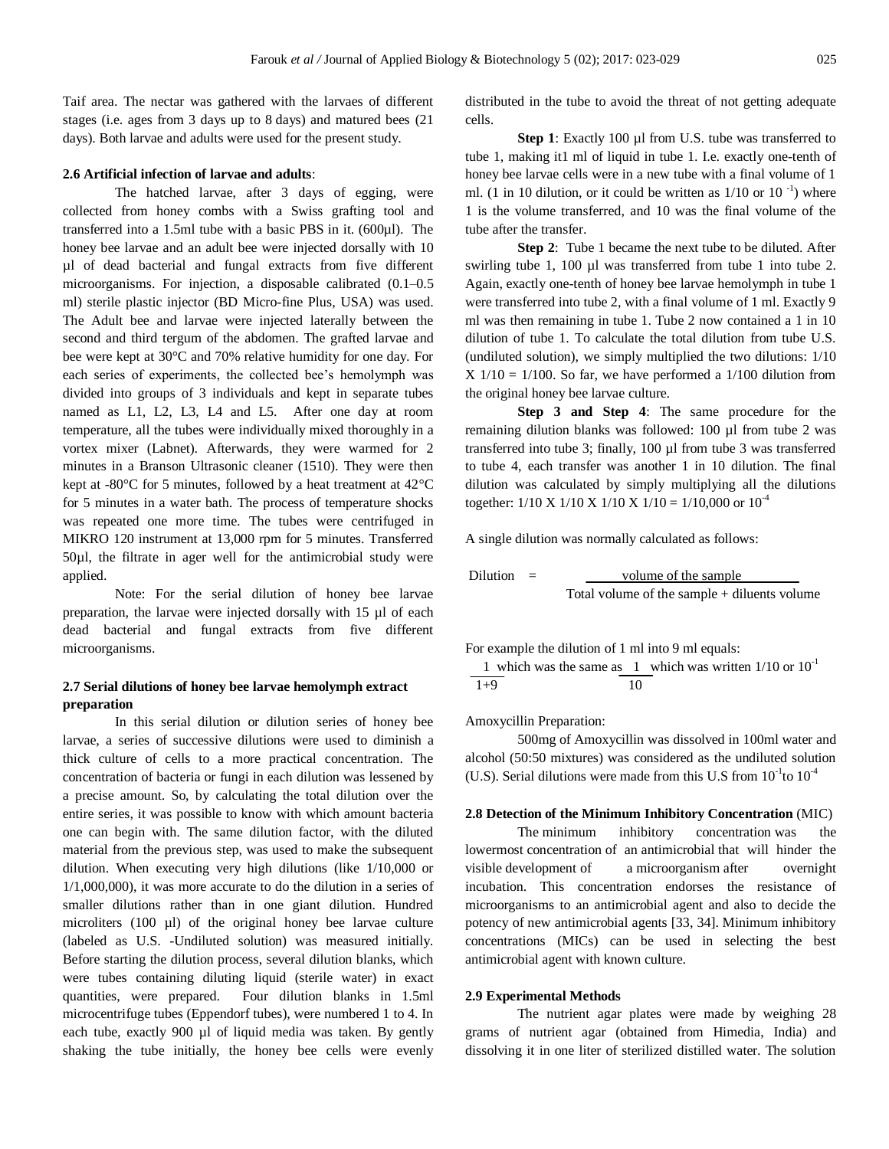Taif area. The nectar was gathered with the larvaes of different stages (i.e. ages from 3 days up to 8 days) and matured bees (21 days). Both larvae and adults were used for the present study.

# **2.6 Artificial infection of larvae and adults**:

The hatched larvae, after 3 days of egging, were collected from honey combs with a Swiss grafting tool and transferred into a 1.5ml tube with a basic PBS in it. (600µl). The honey bee larvae and an adult bee were injected dorsally with 10 µl of dead bacterial and fungal extracts from five different microorganisms. For injection, a disposable calibrated (0.1–0.5 ml) sterile plastic injector (BD Micro-fine Plus, USA) was used. The Adult bee and larvae were injected laterally between the second and third tergum of the abdomen. The grafted larvae and bee were kept at 30°C and 70% relative humidity for one day. For each series of experiments, the collected bee's hemolymph was divided into groups of 3 individuals and kept in separate tubes named as L1, L2, L3, L4 and L5. After one day at room temperature, all the tubes were individually mixed thoroughly in a vortex mixer (Labnet). Afterwards, they were warmed for 2 minutes in a Branson Ultrasonic cleaner (1510). They were then kept at -80°C for 5 minutes, followed by a heat treatment at 42°C for 5 minutes in a water bath. The process of temperature shocks was repeated one more time. The tubes were centrifuged in MIKRO 120 instrument at 13,000 rpm for 5 minutes. Transferred 50µl, the filtrate in ager well for the antimicrobial study were applied.

Note: For the serial dilution of honey bee larvae preparation, the larvae were injected dorsally with 15 µl of each dead bacterial and fungal extracts from five different microorganisms.

# **2.7 Serial dilutions of honey bee larvae hemolymph extract preparation**

In this serial dilution or dilution series of honey bee larvae, a series of successive dilutions were used to diminish a thick culture of cells to a more practical concentration. The concentration of bacteria or fungi in each dilution was lessened by a precise amount. So, by calculating the total dilution over the entire series, it was possible to know with which amount bacteria one can begin with. The same dilution factor, with the diluted material from the previous step, was used to make the subsequent dilution. When executing very high dilutions (like 1/10,000 or 1/1,000,000), it was more accurate to do the dilution in a series of smaller dilutions rather than in one giant dilution. Hundred microliters (100 µl) of the original honey bee larvae culture (labeled as U.S. -Undiluted solution) was measured initially. Before starting the dilution process, several dilution blanks, which were tubes containing diluting liquid (sterile water) in exact quantities, were prepared. Four dilution blanks in 1.5ml microcentrifuge tubes (Eppendorf tubes), were numbered 1 to 4. In each tube, exactly 900 µl of liquid media was taken. By gently shaking the tube initially, the honey bee cells were evenly distributed in the tube to avoid the threat of not getting adequate cells.

Step 1: Exactly 100 µl from U.S. tube was transferred to tube 1, making it1 ml of liquid in tube 1. I.e. exactly one-tenth of honey bee larvae cells were in a new tube with a final volume of 1 ml. (1 in 10 dilution, or it could be written as  $1/10$  or  $10^{-1}$ ) where 1 is the volume transferred, and 10 was the final volume of the tube after the transfer.

**Step 2**: Tube 1 became the next tube to be diluted. After swirling tube 1, 100 µl was transferred from tube 1 into tube 2. Again, exactly one-tenth of honey bee larvae hemolymph in tube 1 were transferred into tube 2, with a final volume of 1 ml. Exactly 9 ml was then remaining in tube 1. Tube 2 now contained a 1 in 10 dilution of tube 1. To calculate the total dilution from tube U.S. (undiluted solution), we simply multiplied the two dilutions: 1/10  $X 1/10 = 1/100$ . So far, we have performed a 1/100 dilution from the original honey bee larvae culture.

**Step 3 and Step 4**: The same procedure for the remaining dilution blanks was followed: 100 µl from tube 2 was transferred into tube 3; finally, 100 µl from tube 3 was transferred to tube 4, each transfer was another 1 in 10 dilution. The final dilution was calculated by simply multiplying all the dilutions together:  $1/10 \text{ X } 1/10 \text{ X } 1/10 \text{ X } 1/10 = 1/10,000$  or  $10^{-4}$ 

A single dilution was normally calculated as follows:

Dilution = volume of the sample Total volume of the sample + diluents volume

For example the dilution of 1 ml into 9 ml equals:

1 which was the same as 1 which was written  $1/10$  or  $10^{-1}$  $\overline{1+9}$  10

Amoxycillin Preparation:

500mg of Amoxycillin was dissolved in 100ml water and alcohol (50:50 mixtures) was considered as the undiluted solution (U.S). Serial dilutions were made from this U.S from  $10^{-1}$ to  $10^{-4}$ 

# **2.8 Detection of the Minimum Inhibitory Concentration** (MIC)

The minimum inhibitory concentration was the lowermost concentration of an antimicrobial that will hinder the visible development of a microorganism after overnight incubation. This concentration endorses the resistance of microorganisms to an antimicrobial agent and also to decide the potency of new antimicrobial agents [33, 34]. Minimum inhibitory concentrations (MICs) can be used in selecting the best antimicrobial agent with known culture.

### **2.9 Experimental Methods**

The nutrient agar plates were made by weighing 28 grams of nutrient agar (obtained from Himedia, India) and dissolving it in one liter of sterilized distilled water. The solution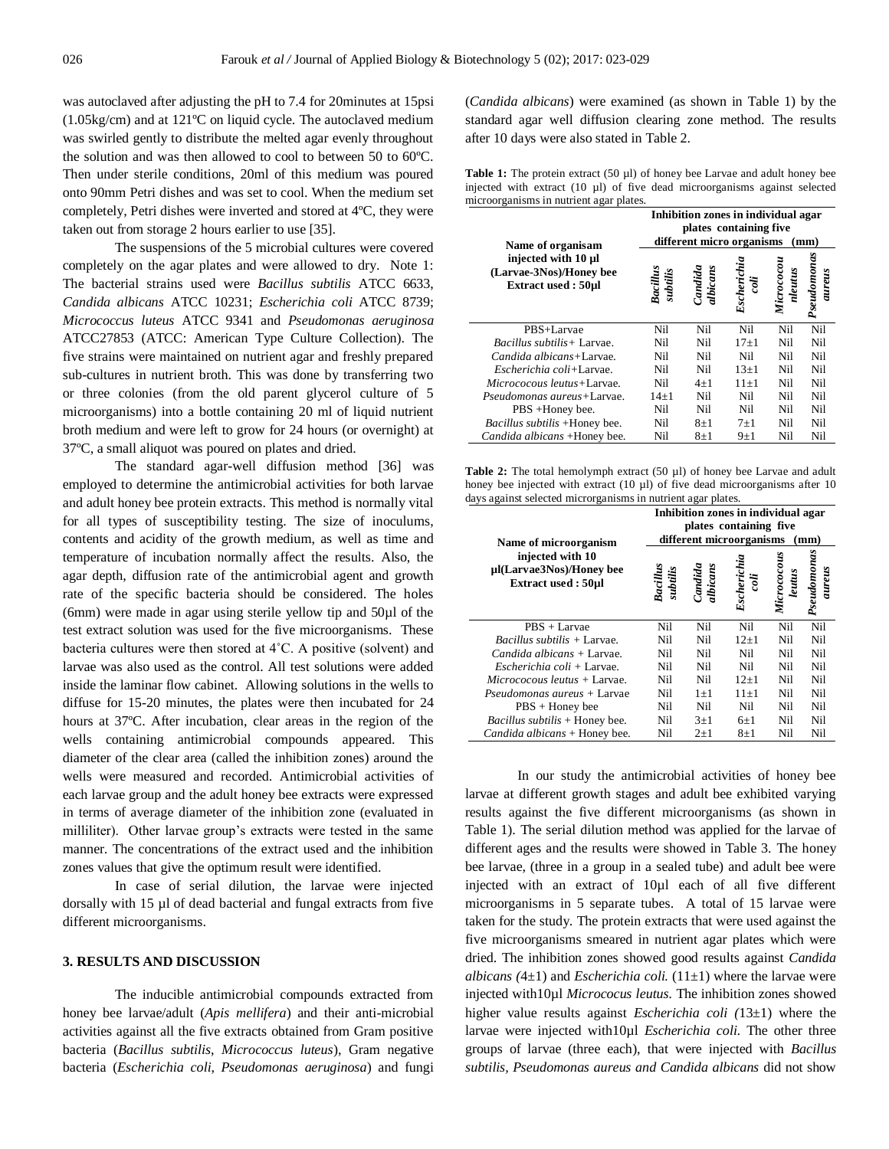was autoclaved after adjusting the pH to 7.4 for 20minutes at 15psi (1.05kg/cm) and at 121ºC on liquid cycle. The autoclaved medium was swirled gently to distribute the melted agar evenly throughout the solution and was then allowed to cool to between 50 to 60ºC. Then under sterile conditions, 20ml of this medium was poured onto 90mm Petri dishes and was set to cool. When the medium set completely, Petri dishes were inverted and stored at 4ºC, they were taken out from storage 2 hours earlier to use [35].

The suspensions of the 5 microbial cultures were covered completely on the agar plates and were allowed to dry. Note 1: The bacterial strains used were *Bacillus subtilis* ATCC 6633, *Candida albicans* ATCC 10231; *Escherichia coli* ATCC 8739; *Micrococcus luteus* ATCC 9341 and *Pseudomonas aeruginosa*  ATCC27853 (ATCC: American Type Culture Collection). The five strains were maintained on nutrient agar and freshly prepared sub-cultures in nutrient broth. This was done by transferring two or three colonies (from the old parent glycerol culture of 5 microorganisms) into a bottle containing 20 ml of liquid nutrient broth medium and were left to grow for 24 hours (or overnight) at 37ºC, a small aliquot was poured on plates and dried.

The standard agar-well diffusion method [36] was employed to determine the antimicrobial activities for both larvae and adult honey bee protein extracts. This method is normally vital for all types of susceptibility testing. The size of inoculums, contents and acidity of the growth medium, as well as time and temperature of incubation normally affect the results. Also, the agar depth, diffusion rate of the antimicrobial agent and growth rate of the specific bacteria should be considered. The holes (6mm) were made in agar using sterile yellow tip and 50µl of the test extract solution was used for the five microorganisms. These bacteria cultures were then stored at 4˚C. A positive (solvent) and larvae was also used as the control. All test solutions were added inside the laminar flow cabinet. Allowing solutions in the wells to diffuse for 15-20 minutes, the plates were then incubated for 24 hours at 37ºC. After incubation, clear areas in the region of the wells containing antimicrobial compounds appeared. This diameter of the clear area (called the inhibition zones) around the wells were measured and recorded. Antimicrobial activities of each larvae group and the adult honey bee extracts were expressed in terms of average diameter of the inhibition zone (evaluated in milliliter). Other larvae group's extracts were tested in the same manner. The concentrations of the extract used and the inhibition zones values that give the optimum result were identified.

In case of serial dilution, the larvae were injected dorsally with 15 µl of dead bacterial and fungal extracts from five different microorganisms.

## **3. RESULTS AND DISCUSSION**

The inducible antimicrobial compounds extracted from honey bee larvae/adult (*Apis mellifera*) and their anti-microbial activities against all the five extracts obtained from Gram positive bacteria (*Bacillus subtilis*, *Micrococcus luteus*), Gram negative bacteria (*Escherichia coli*, *Pseudomonas aeruginosa*) and fungi (*Candida albicans*) were examined (as shown in Table 1) by the standard agar well diffusion clearing zone method. The results after 10 days were also stated in Table 2.

**Table 1:** The protein extract (50 µl) of honey bee Larvae and adult honey bee injected with extract (10 µl) of five dead microorganisms against selected microorganisms in nutrient agar plates.

|                                                                                           | Inhibition zones in individual agar<br>plates containing five<br>different micro organisms<br>(mm) |                     |                     |                       |                       |
|-------------------------------------------------------------------------------------------|----------------------------------------------------------------------------------------------------|---------------------|---------------------|-----------------------|-----------------------|
| Name of organisam<br>injected with 10 µl<br>(Larvae-3Nos)/Honey bee<br>Extract used: 50µl | Bacillus<br>subtilis                                                                               | Candida<br>albicans | Escherichia<br>coli | Micrococou<br>nleutus | Pseudomonas<br>aureus |
| PBS+Larvae                                                                                | Nil                                                                                                | Nil                 | Nil                 | Nil                   | Nil                   |
| <i>Bacillus subtilis</i> + Larvae.                                                        | Nil                                                                                                | Nil                 | $17 + 1$            | Nil                   | Nil                   |
| <i>Candida albicans</i> +Larvae.                                                          | Nil                                                                                                | Nil                 | Nil                 | Nil                   | Nil                   |
| Escherichia coli+Larvae.                                                                  | Nil                                                                                                | Nil                 | $13+1$              | Nil                   | Nil                   |
| <i>Micrococous leutus</i> +Larvae.                                                        | Nil                                                                                                | $4 + 1$             | $11\pm1$            | Nil                   | Nil                   |
| <i>Pseudomonas aureus</i> +Larvae.                                                        | $14 + 1$                                                                                           | Nil                 | Nil                 | Nil                   | Nil                   |
| PBS +Honey bee.                                                                           | Nil                                                                                                | Nil                 | Nil                 | Nil                   | Nil                   |
| Bacillus subtilis +Honey bee.                                                             | Nil                                                                                                | $8\pm1$             | $7 + 1$             | Nil                   | Nil                   |
| Candida albicans + Honey bee.                                                             | Nil                                                                                                | $8\pm1$             | $9\pm1$             | Nil                   | Nil                   |

Table 2: The total hemolymph extract (50 µl) of honey bee Larvae and adult honey bee injected with extract (10 µl) of five dead microorganisms after 10 days against selected microrganisms in nutrient agar plates.

|                                                                    | Inhibition zones in individual agar<br>plates containing five<br>different microorganisms<br>(mm) |                     |                     |                       |                       |
|--------------------------------------------------------------------|---------------------------------------------------------------------------------------------------|---------------------|---------------------|-----------------------|-----------------------|
| Name of microorganism                                              |                                                                                                   |                     |                     |                       |                       |
| injected with 10<br>µl(Larvae3Nos)/Honey bee<br>Extract used: 50µl | Bacillus<br>subtilis                                                                              | Candida<br>albicans | Escherichia<br>coli | Micrococous<br>leutus | Pseudomonas<br>aureus |
| PBS + Larvae                                                       | Nil                                                                                               | Nil                 | Nil                 | Nil                   | Nil                   |
| <i>Bacillus subtilis</i> + Larvae.                                 | Nil                                                                                               | Nil                 | $12+1$              | Nil                   | Nil                   |
| Candida albicans + Larvae.                                         | Nil                                                                                               | Nil                 | Nil                 | Nil                   | Nil                   |
| <i>Escherichia coli</i> + Larvae.                                  | Nil                                                                                               | Nil                 | Nil                 | Nil                   | Nil                   |
| <i>Micrococous leutus</i> + Larvae.                                | Nil                                                                                               | Nil                 | $12+1$              | Nil                   | Nil                   |
| <i>Pseudomonas aureus</i> + Larvae                                 | Nil                                                                                               | $1 + 1$             | $11+1$              | Nil                   | Nil                   |
| $PBS + Honey$ bee                                                  | Nil                                                                                               | Nil                 | Nil                 | Nil                   | Nil                   |
| <i>Bacillus subtilis</i> + Honey bee.                              | Nil                                                                                               | $3\pm1$             | $6\pm1$             | Nil                   | Nil                   |
| Candida albicans + Honey bee.                                      | Nil                                                                                               | $2+1$               | $8\pm1$             | Nil                   | Nil                   |

In our study the antimicrobial activities of honey bee larvae at different growth stages and adult bee exhibited varying results against the five different microorganisms (as shown in Table 1). The serial dilution method was applied for the larvae of different ages and the results were showed in Table 3. The honey bee larvae, (three in a group in a sealed tube) and adult bee were injected with an extract of 10µl each of all five different microorganisms in 5 separate tubes. A total of 15 larvae were taken for the study. The protein extracts that were used against the five microorganisms smeared in nutrient agar plates which were dried. The inhibition zones showed good results against *Candida albicans*  $(4\pm1)$  and *Escherichia coli.*  $(11\pm1)$  where the larvae were injected with10µl *Micrococus leutus.* The inhibition zones showed higher value results against *Escherichia coli (*13±1) where the larvae were injected with10µl *Escherichia coli.* The other three groups of larvae (three each), that were injected with *Bacillus subtilis, Pseudomonas aureus and Candida albicans* did not show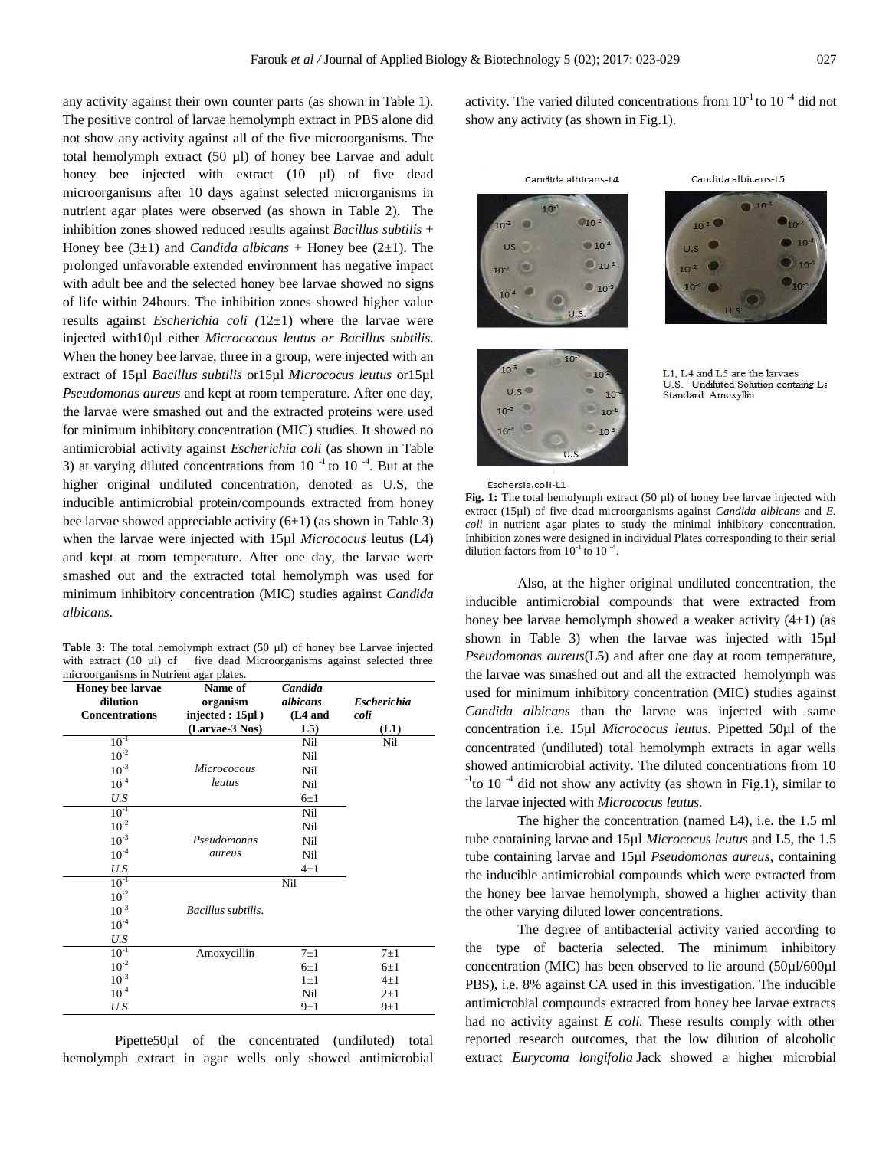any activity against their own counter parts (as shown in Table 1). The positive control of larvae hemolymph extract in PBS alone did not show any activity against all of the five microorganisms. The total hemolymph extract (50 µl) of honey bee Larvae and adult honey bee injected with extract (10 µl) of five dead microorganisms after 10 days against selected microrganisms in nutrient agar plates were observed (as shown in Table 2). The inhibition zones showed reduced results against *Bacillus subtilis* + Honey bee (3±1) and *Candida albicans* + Honey bee (2±1). The prolonged unfavorable extended environment has negative impact with adult bee and the selected honey bee larvae showed no signs of life within 24hours. The inhibition zones showed higher value results against *Escherichia coli (*12±1) where the larvae were injected with10µl either *Micrococous leutus or Bacillus subtilis.* When the honey bee larvae, three in a group, were injected with an extract of 15µl *Bacillus subtilis* or15µl *Micrococus leutus* or15µl *Pseudomonas aureus* and kept at room temperature. After one day, the larvae were smashed out and the extracted proteins were used for minimum inhibitory concentration (MIC) studies. It showed no antimicrobial activity against *Escherichia coli* (as shown in Table 3) at varying diluted concentrations from 10 $^{-1}$  to 10 $^{-4}$ . But at the higher original undiluted concentration, denoted as U.S, the inducible antimicrobial protein/compounds extracted from honey bee larvae showed appreciable activity  $(6±1)$  (as shown in Table 3) when the larvae were injected with 15µl *Micrococus* leutus (L4) and kept at room temperature. After one day, the larvae were smashed out and the extracted total hemolymph was used for minimum inhibitory concentration (MIC) studies against *Candida albicans.* 

Table 3: The total hemolymph extract (50 µl) of honey bee Larvae injected with extract (10 µl) of five dead Microorganisms against selected three microorganisms in Nutrient agar plates.

| Honey bee larvae<br>dilution | Name of<br>organism     | Candida<br>albicans | <b>Escherichia</b> |
|------------------------------|-------------------------|---------------------|--------------------|
| <b>Concentrations</b>        | injected : $15 \mu l$ ) | $(L4$ and           | coli               |
|                              | (Larvae-3 Nos)          | L5                  | (L1)               |
| $10^{-1}$                    |                         | Nil                 | Nil                |
| $10^{-2}$                    |                         | Nil                 |                    |
| $10^{-3}$                    | Micrococous             | Nil                 |                    |
| $10^{-4}$                    | leutus                  | Nil                 |                    |
| U.S                          |                         | $6\pm1$             |                    |
| $10^{-1}$                    |                         | Nil                 |                    |
| $10^{-2}$                    |                         | Nil                 |                    |
| $10^{-3}$                    | Pseudomonas             | Nil                 |                    |
| $10^{-4}$                    | aureus                  | Nil                 |                    |
| U.S                          |                         | $4\pm1$             |                    |
| $10^{-1}$                    |                         | Nil                 |                    |
| $10^{-2}$                    |                         |                     |                    |
| $10^{-3}$                    | Bacillus subtilis.      |                     |                    |
| $10^{-4}$                    |                         |                     |                    |
| U.S                          |                         |                     |                    |
| $10^{-1}$                    | Amoxycillin             | $7\pm1$             | $7\pm1$            |
| $10^{-2}$                    |                         | $6\pm1$             | $6\pm1$            |
| $10^{-3}$                    |                         | $1\pm1$             | $4\pm1$            |
| $10^{-4}$                    |                         | Nil                 | $2\pm1$            |
| U.S                          |                         | $9\pm1$             | $9\pm1$            |

Pipette50µl of the concentrated (undiluted) total hemolymph extract in agar wells only showed antimicrobial

activity. The varied diluted concentrations from  $10^{-1}$  to  $10^{-4}$  did not show any activity (as shown in Fig.1).



Candida albicans-L4





L1 L4 and L5 are the larvaes U.S. - Undiluted Solution containg La Standard: Amoxyllin

Eschersia.coli-L1

**Fig. 1:** The total hemolymph extract (50 µl) of honey bee larvae injected with extract (15µl) of five dead microorganisms against *Candida albicans* and *E. coli* in nutrient agar plates to study the minimal inhibitory concentration. Inhibition zones were designed in individual Plates corresponding to their serial dilution factors from  $10^{-1}$  to  $10^{-4}$ .

Also, at the higher original undiluted concentration, the inducible antimicrobial compounds that were extracted from honey bee larvae hemolymph showed a weaker activity  $(4\pm 1)$  (as shown in Table 3) when the larvae was injected with 15µl *Pseudomonas aureus*(L5) and after one day at room temperature, the larvae was smashed out and all the extracted hemolymph was used for minimum inhibitory concentration (MIC) studies against *Candida albicans* than the larvae was injected with same concentration i.e. 15µl *Micrococus leutus*. Pipetted 50µl of the concentrated (undiluted) total hemolymph extracts in agar wells showed antimicrobial activity. The diluted concentrations from 10  $1$ <sup>-1</sup> to 10<sup>-4</sup> did not show any activity (as shown in Fig.1), similar to the larvae injected with *Micrococus leutus.* 

The higher the concentration (named L4), i.e. the 1.5 ml tube containing larvae and 15µl *Micrococus leutus* and L5, the 1.5 tube containing larvae and 15µl *Pseudomonas aureus*, containing the inducible antimicrobial compounds which were extracted from the honey bee larvae hemolymph, showed a higher activity than the other varying diluted lower concentrations.

The degree of antibacterial activity varied according to the type of bacteria selected. The minimum inhibitory concentration (MIC) has been observed to lie around (50µl/600µl PBS), i.e. 8% against CA used in this investigation. The inducible antimicrobial compounds extracted from honey bee larvae extracts had no activity against *E coli.* These results comply with other reported research outcomes, that the low dilution of alcoholic extract *Eurycoma longifolia* Jack showed a higher microbial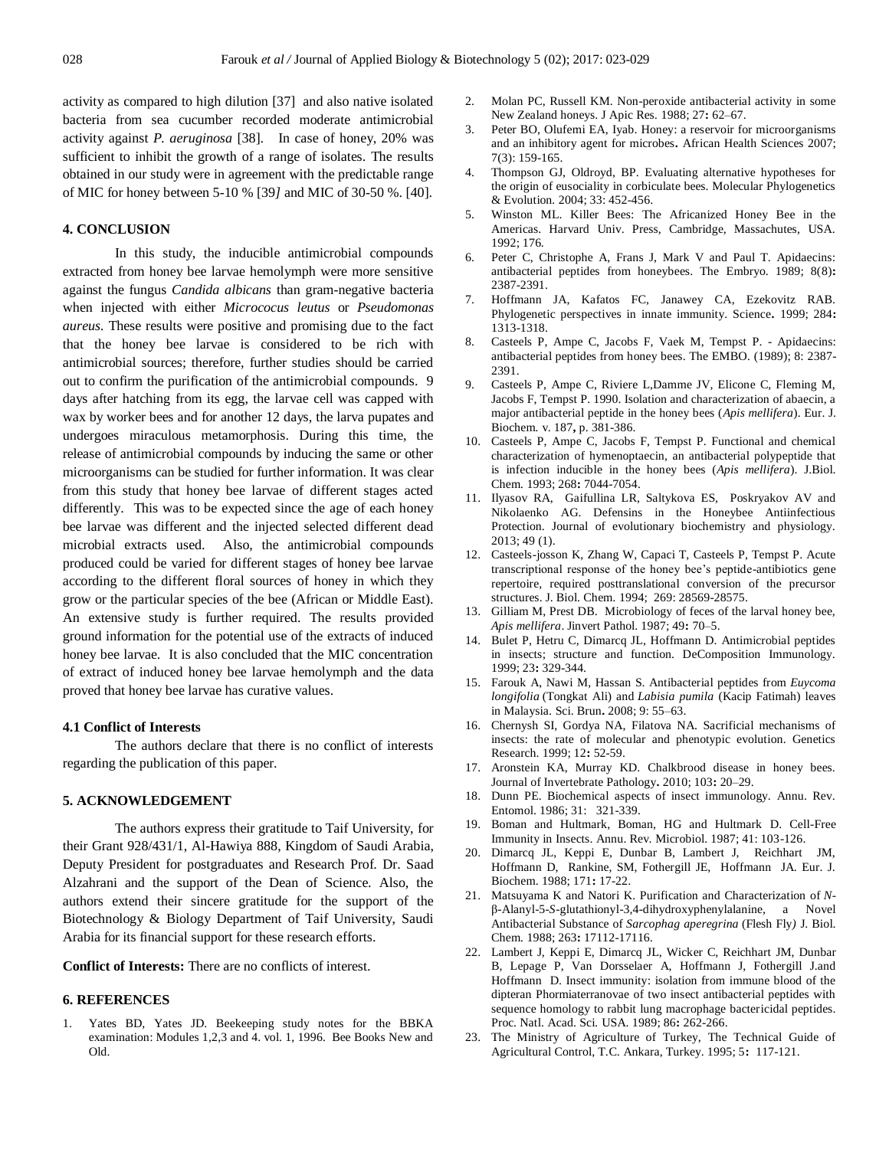activity as compared to high dilution [37] and also native isolated bacteria from sea cucumber recorded moderate antimicrobial activity against *P. aeruginosa* [38].In case of honey, 20% was sufficient to inhibit the growth of a range of isolates. The results obtained in our study were in agreement with the predictable range of MIC for honey between 5-10 % [39*]* and MIC of 30-50 %. [40].

#### **4. CONCLUSION**

In this study, the inducible antimicrobial compounds extracted from honey bee larvae hemolymph were more sensitive against the fungus *Candida albicans* than gram-negative bacteria when injected with either *Micrococus leutus* or *Pseudomonas aureus.* These results were positive and promising due to the fact that the honey bee larvae is considered to be rich with antimicrobial sources; therefore, further studies should be carried out to confirm the purification of the antimicrobial compounds. 9 days after hatching from its egg, the larvae cell was capped with wax by worker bees and for another 12 days, the larva pupates and undergoes miraculous metamorphosis. During this time, the release of antimicrobial compounds by inducing the same or other microorganisms can be studied for further information. It was clear from this study that honey bee larvae of different stages acted differently. This was to be expected since the age of each honey bee larvae was different and the injected selected different dead microbial extracts used. Also, the antimicrobial compounds produced could be varied for different stages of honey bee larvae according to the different floral sources of honey in which they grow or the particular species of the bee (African or Middle East). An extensive study is further required. The results provided ground information for the potential use of the extracts of induced honey bee larvae. It is also concluded that the MIC concentration of extract of induced honey bee larvae hemolymph and the data proved that honey bee larvae has curative values.

#### **4.1 Conflict of Interests**

The authors declare that there is no conflict of interests regarding the publication of this paper.

## **5. ACKNOWLEDGEMENT**

The authors express their gratitude to Taif University, for their Grant 928/431/1, Al-Hawiya 888, Kingdom of Saudi Arabia, Deputy President for postgraduates and Research Prof. Dr. Saad Alzahrani and the support of the Dean of Science. Also, the authors extend their sincere gratitude for the support of the Biotechnology & Biology Department of Taif University, Saudi Arabia for its financial support for these research efforts.

# **Conflict of Interests:** There are no conflicts of interest.

# **6. REFERENCES**

Yates BD, Yates JD. Beekeeping study notes for the BBKA examination: Modules 1,2,3 and 4. vol. 1, 1996. Bee Books New and Old.

- 2. Molan PC, Russell KM. Non-peroxide antibacterial activity in some New Zealand honeys. J Apic Res*.* 1988; 27**:** 62–67.
- 3. Peter BO, Olufemi EA, Iyab. Honey: a reservoir for microorganisms and an inhibitory agent for microbes**.** African Health Sciences 2007; 7(3): 159-165.
- 4. Thompson GJ, Oldroyd, BP. Evaluating alternative hypotheses for the origin of eusociality in corbiculate bees. Molecular Phylogenetics & Evolution*.* 2004; 33: 452-456.
- 5. Winston ML. Killer Bees: The Africanized Honey Bee in the Americas. Harvard Univ. Press, Cambridge, Massachutes, USA. 1992; 176.
- 6. Peter C, Christophe A, Frans J, Mark V and Paul T. Apidaecins: antibacterial peptides from honeybees. The Embryo. 1989; 8(8)**:** 2387-2391.
- 7. Hoffmann JA, Kafatos FC, Janawey CA, Ezekovitz RAB. Phylogenetic perspectives in innate immunity. Science**.** 1999; 284**:**  1313-1318.
- 8. Casteels P, Ampe C, Jacobs F, Vaek M, Tempst P. Apidaecins: antibacterial peptides from honey bees. The EMBO*.* (1989); 8: 2387- 2391.
- 9. Casteels P, Ampe C, Riviere L,Damme JV, Elicone C, Fleming M, Jacobs F, Tempst P. 1990. Isolation and characterization of abaecin, a major antibacterial peptide in the honey bees (*Apis mellifera*). Eur. J. Biochem*.* v. 187**,** p. 381-386.
- 10. Casteels P, Ampe C, Jacobs F, Tempst P. Functional and chemical characterization of hymenoptaecin, an antibacterial polypeptide that is infection inducible in the honey bees (*Apis mellifera*). J.Biol. Chem*.* 1993; 268**:** 7044-7054.
- 11. Ilyasov RA, Gaifullina LR, Saltykova ES, Poskryakov AV and Nikolaenko AG. Defensins in the Honeybee Antiinfectious Protection. Journal of evolutionary biochemistry and physiology. 2013; 49 (1).
- 12. Casteels-josson K, Zhang W, Capaci T, Casteels P, Tempst P. Acute transcriptional response of the honey bee's peptide-antibiotics gene repertoire, required posttranslational conversion of the precursor structures. J. Biol. Chem*.* 1994; 269: 28569-28575.
- 13. Gilliam M, Prest DB. Microbiology of feces of the larval honey bee, *Apis mellifera*. Jinvert Pathol. 1987; 49**:** 70–5.
- 14. Bulet P, Hetru C, Dimarcq JL, Hoffmann D. Antimicrobial peptides in insects; structure and function. DeComposition Immunology. 1999; 23**:** 329-344.
- 15. Farouk A, Nawi M, Hassan S. Antibacterial peptides from *Euycoma longifolia* (Tongkat Ali) and *Labisia pumila* (Kacip Fatimah) leaves in Malaysia. Sci. Brun**.** 2008; 9: 55–63.
- 16. Chernysh SI, Gordya NA, Filatova NA. Sacrificial mechanisms of insects: the rate of molecular and phenotypic evolution. Genetics Research. 1999; 12**:** 52-59.
- 17. Aronstein KA, Murray KD. Chalkbrood disease in honey bees. Journal of Invertebrate Pathology**.** 2010; 103**:** 20–29.
- 18. Dunn PE. Biochemical aspects of insect immunology. Annu. Rev. Entomol. 1986; 31: 321-339.
- 19. Boman and Hultmark, Boman, HG and Hultmark D. Cell-Free Immunity in Insects. Annu. Rev. Microbiol. 1987; 41: 103-126.
- 20. Dimarcq JL, Keppi E, Dunbar B, Lambert J, Reichhart JM, Hoffmann D, Rankine, SM, Fothergill JE, Hoffmann JA. Eur. J. Biochem. 1988; 171**:** 17-22.
- 21. Matsuyama K and Natori K. Purification and Characterization of *N*β-Alanyl-5-*S*-glutathionyl-3,4-dihydroxyphenylalanine, a Novel Antibacterial Substance of *Sarcophag aperegrina* (Flesh Fly*)* J. Biol. Chem*.* 1988; 263**:** 17112-17116.
- 22. Lambert J, Keppi E, Dimarcq JL, Wicker C, Reichhart JM, Dunbar B, Lepage P, Van Dorsselaer A, Hoffmann J, Fothergill J.and Hoffmann D. Insect immunity: isolation from immune blood of the dipteran Phormiaterranovae of two insect antibacterial peptides with sequence homology to rabbit lung macrophage bactericidal peptides. Proc. Natl. Acad. Sci*.* USA. 1989; 86**:** 262-266.
- 23. The Ministry of Agriculture of Turkey, The Technical Guide of Agricultural Control, T.C. Ankara, Turkey. 1995; 5**:** 117-121.